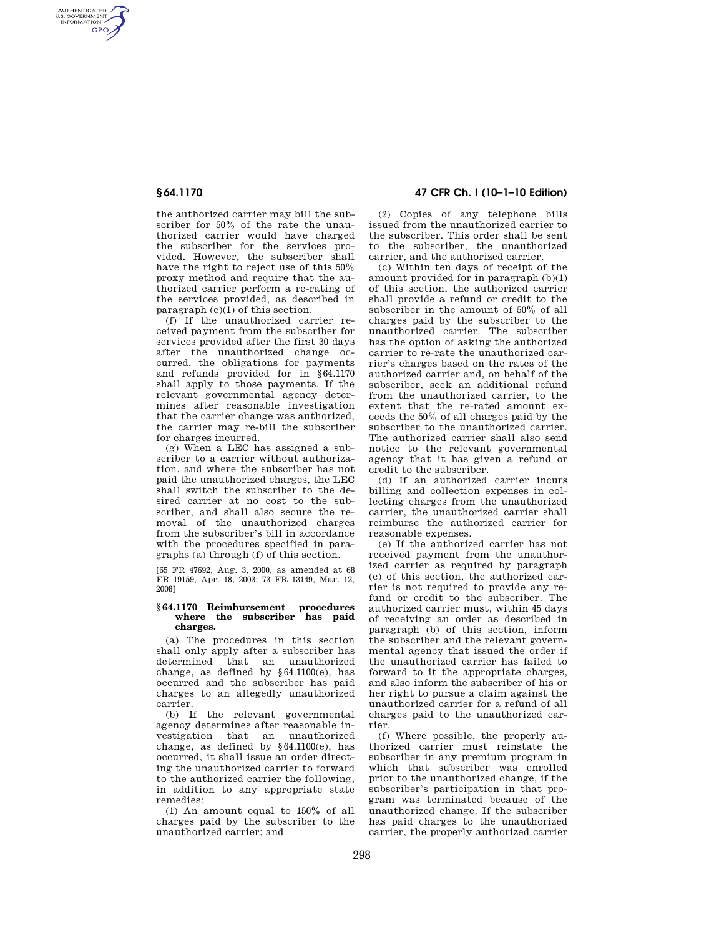AUTHENTICATED<br>U.S. GOVERNMENT<br>INFORMATION **GPO** 

> the authorized carrier may bill the subscriber for 50% of the rate the unauthorized carrier would have charged the subscriber for the services provided. However, the subscriber shall have the right to reject use of this 50% proxy method and require that the authorized carrier perform a re-rating of the services provided, as described in paragraph  $(e)(1)$  of this section.

> (f) If the unauthorized carrier received payment from the subscriber for services provided after the first 30 days after the unauthorized change occurred, the obligations for payments and refunds provided for in §64.1170 shall apply to those payments. If the relevant governmental agency determines after reasonable investigation that the carrier change was authorized, the carrier may re-bill the subscriber for charges incurred.

> (g) When a LEC has assigned a subscriber to a carrier without authorization, and where the subscriber has not paid the unauthorized charges, the LEC shall switch the subscriber to the desired carrier at no cost to the subscriber, and shall also secure the removal of the unauthorized charges from the subscriber's bill in accordance with the procedures specified in paragraphs (a) through (f) of this section.

[65 FR 47692, Aug. 3, 2000, as amended at 68 FR 19159, Apr. 18, 2003; 73 FR 13149, Mar. 12, 2008]

## **§ 64.1170 Reimbursement procedures where the subscriber has paid charges.**

(a) The procedures in this section shall only apply after a subscriber has determined that an unauthorized change, as defined by §64.1100(e), has occurred and the subscriber has paid charges to an allegedly unauthorized carrier.

(b) If the relevant governmental agency determines after reasonable investigation that an unauthorized change, as defined by  $§64.1100(e)$ , has occurred, it shall issue an order directing the unauthorized carrier to forward to the authorized carrier the following, in addition to any appropriate state remedies:

(1) An amount equal to 150% of all charges paid by the subscriber to the unauthorized carrier; and

## **§ 64.1170 47 CFR Ch. I (10–1–10 Edition)**

(2) Copies of any telephone bills issued from the unauthorized carrier to the subscriber. This order shall be sent to the subscriber, the unauthorized carrier, and the authorized carrier.

(c) Within ten days of receipt of the amount provided for in paragraph (b)(1) of this section, the authorized carrier shall provide a refund or credit to the subscriber in the amount of 50% of all charges paid by the subscriber to the unauthorized carrier. The subscriber has the option of asking the authorized carrier to re-rate the unauthorized carrier's charges based on the rates of the authorized carrier and, on behalf of the subscriber, seek an additional refund from the unauthorized carrier, to the extent that the re-rated amount exceeds the 50% of all charges paid by the subscriber to the unauthorized carrier. The authorized carrier shall also send notice to the relevant governmental agency that it has given a refund or credit to the subscriber.

(d) If an authorized carrier incurs billing and collection expenses in collecting charges from the unauthorized carrier, the unauthorized carrier shall reimburse the authorized carrier for reasonable expenses.

(e) If the authorized carrier has not received payment from the unauthorized carrier as required by paragraph (c) of this section, the authorized carrier is not required to provide any refund or credit to the subscriber. The authorized carrier must, within 45 days of receiving an order as described in paragraph (b) of this section, inform the subscriber and the relevant governmental agency that issued the order if the unauthorized carrier has failed to forward to it the appropriate charges, and also inform the subscriber of his or her right to pursue a claim against the unauthorized carrier for a refund of all charges paid to the unauthorized carrier.

(f) Where possible, the properly authorized carrier must reinstate the subscriber in any premium program in which that subscriber was enrolled prior to the unauthorized change, if the subscriber's participation in that program was terminated because of the unauthorized change. If the subscriber has paid charges to the unauthorized carrier, the properly authorized carrier